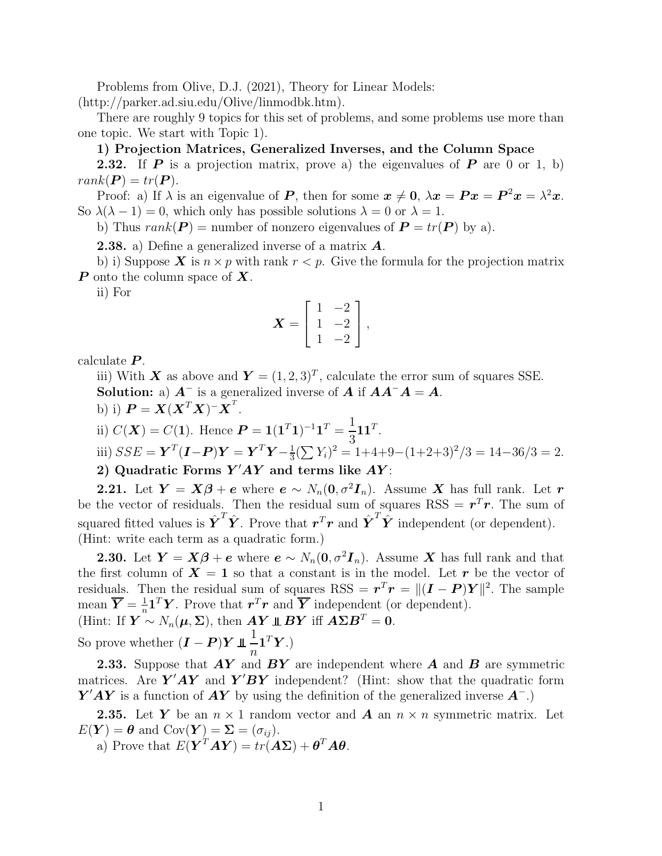Problems from Olive, D.J. (2021), Theory for Linear Models: (http://parker.ad.siu.edu/Olive/linmodbk.htm).

There are roughly 9 topics for this set of problems, and some problems use more than one topic. We start with Topic 1).

### 1) Projection Matrices, Generalized Inverses, and the Column Space

**2.32.** If **P** is a projection matrix, prove a) the eigenvalues of **P** are 0 or 1, b)  $rank(\boldsymbol{P}) = tr(\boldsymbol{P}).$ 

Proof: a) If  $\lambda$  is an eigenvalue of P, then for some  $x \neq 0$ ,  $\lambda x = Px = P^2x = \lambda^2x$ . So  $\lambda(\lambda - 1) = 0$ , which only has possible solutions  $\lambda = 0$  or  $\lambda = 1$ .

b) Thus  $rank(P) =$  number of nonzero eigenvalues of  $P = tr(P)$  by a).

**2.38.** a) Define a generalized inverse of a matrix  $\boldsymbol{A}$ .

b) i) Suppose **X** is  $n \times p$  with rank  $r < p$ . Give the formula for the projection matrix  $\boldsymbol{P}$  onto the column space of  $\boldsymbol{X}$ .

ii) For

$$
\boldsymbol{X} = \begin{bmatrix} 1 & -2 \\ 1 & -2 \\ 1 & -2 \end{bmatrix},
$$

calculate  $P$ .

iii) With X as above and  $Y = (1, 2, 3)^T$ , calculate the error sum of squares SSE. Solution: a)  $A^-$  is a generalized inverse of  $A$  if  $AA^-A = A$ .

b) i)  $\boldsymbol{P} = \boldsymbol{X}(\boldsymbol{X}^T\boldsymbol{X})^{\top}\boldsymbol{X}^T$ .

ii)  $C(X) = C(1)$ . Hence  $P = 1(1<sup>T</sup>1)<sup>-1</sup>1<sup>T</sup> = \frac{1}{2}$  $\mathbf{11}^T$ .

iii) 
$$
SSE = \mathbf{Y}^T (\mathbf{I} - \mathbf{P}) \mathbf{Y} = \mathbf{Y}^T \mathbf{Y} - \frac{1}{3} (\sum Y_i)^2 = 1 + 4 + 9 - (1 + 2 + 3)^2 / 3 = 14 - 36 / 3 = 2.
$$

2) Quadratic Forms  $Y'AY$  and terms like  $AY$ :

2.21. Let  $Y = X\beta + e$  where  $e \sim N_n(0, \sigma^2 I_n)$ . Assume X has full rank. Let r be the vector of residuals. Then the residual sum of squares  $RSS = r<sup>T</sup>r$ . The sum of squared fitted values is  $\hat{\boldsymbol{Y}}^T \hat{\boldsymbol{Y}}$ . Prove that  $\boldsymbol{r}^T \boldsymbol{r}$  and  $\hat{\boldsymbol{Y}}^T \hat{\boldsymbol{Y}}$  independent (or dependent). (Hint: write each term as a quadratic form.)

**2.30.** Let  $Y = X\beta + e$  where  $e \sim N_n(0, \sigma^2 I_n)$ . Assume X has full rank and that the first column of  $X = 1$  so that a constant is in the model. Let r be the vector of residuals. Then the residual sum of squares RSS =  $r^T r = ||(I - P)Y||^2$ . The sample mean  $\overline{Y} = \frac{1}{n} \mathbf{1}^T Y$ . Prove that  $\mathbf{r}^T \mathbf{r}$  and  $\overline{Y}$  independent (or dependent). (Hint: If  $\mathbf{Y} \sim N_n(\mu, \Sigma)$ , then  $\mathbf{AY} \perp \mathbf{BY}$  iff  $\mathbf{AZB}^T = 0$ .

So prove whether  $(I - P)Y \perp \frac{1}{n}$  $\overline{n}$  $\mathbf{1}^T\boldsymbol{Y}$ .)

**2.33.** Suppose that  $AY$  and  $BY$  are independent where  $A$  and  $B$  are symmetric matrices. Are  $\overrightarrow{Y}$  and  $\overrightarrow{Y}'$  independent? (Hint: show that the quadratic form  $Y'AY$  is a function of  $AY$  by using the definition of the generalized inverse  $A^-$ .)

**2.35.** Let Y be an  $n \times 1$  random vector and A an  $n \times n$  symmetric matrix. Let  $E(Y) = \theta$  and  $Cov(Y) = \Sigma = (\sigma_{ij}).$ 

a) Prove that  $E(Y^TAY) = tr(AZ) + \theta^T A \theta$ .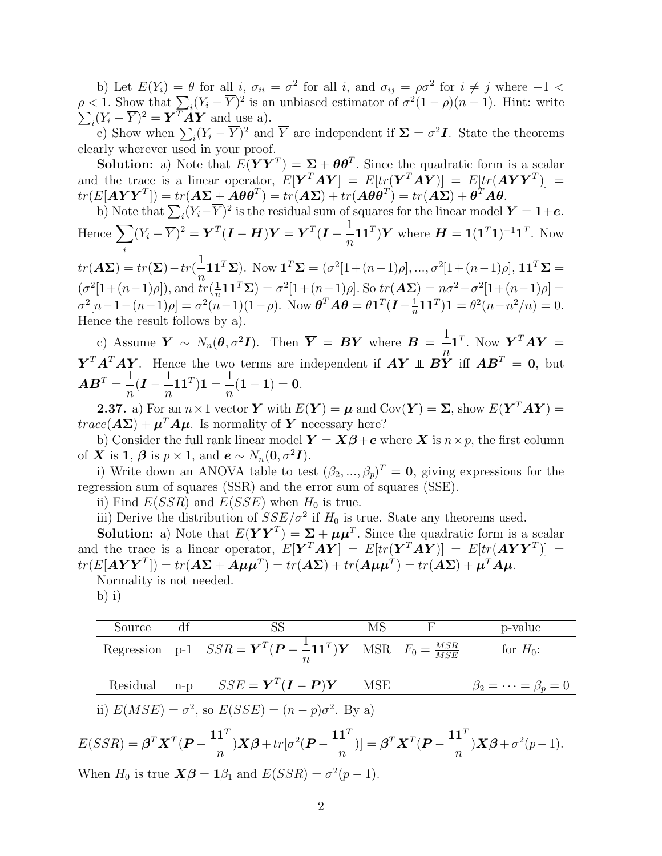b) Let  $E(Y_i) = \theta$  for all i,  $\sigma_{ii} = \sigma^2$  for all i, and  $\sigma_{ij} = \rho \sigma^2$  for  $i \neq j$  where  $-1 <$  $\rho < 1$ . Show that  $\sum_{i} (Y_i - \overline{Y})^2$  is an unbiased estimator of  $\sigma^2(1-\rho)(n-1)$ . Hint: write  $\sum_i (Y_i - \overline{Y})^2 = \boldsymbol{Y}^T \boldsymbol{A} \boldsymbol{Y}$  and use a).

c) Show when  $\sum_i (Y_i - \overline{Y})^2$  and  $\overline{Y}$  are independent if  $\Sigma = \sigma^2 I$ . State the theorems clearly wherever used in your proof.

**Solution:** a) Note that  $E(YY^T) = \Sigma + \theta \theta^T$ . Since the quadratic form is a scalar and the trace is a linear operator,  $E[\boldsymbol{Y}^T \boldsymbol{A} \boldsymbol{Y}] = E[tr(\boldsymbol{Y}^T \boldsymbol{A} \boldsymbol{Y})] = E[tr(\boldsymbol{A} \boldsymbol{Y} \boldsymbol{Y}^T)] =$  $tr(E[\boldsymbol{A}\boldsymbol{Y}\boldsymbol{Y}^T])=tr(\boldsymbol{A}\boldsymbol{\Sigma}+\boldsymbol{A}\boldsymbol{\theta}\boldsymbol{\theta}^T)=tr(\boldsymbol{A}\boldsymbol{\Sigma})+tr(\boldsymbol{A}\boldsymbol{\theta}\boldsymbol{\theta}^T)=tr(\boldsymbol{A}\boldsymbol{\Sigma})+\boldsymbol{\theta}^T\boldsymbol{A}\boldsymbol{\theta}.$ 

b) Note that 
$$
\sum_i (Y_i - \overline{Y})^2
$$
 is the residual sum of squares for the linear model  $Y = 1 + e$ .  
Hence  $\sum_i (Y_i - \overline{Y})^2 = Y^T (I - H)Y = Y^T (I - \frac{1}{n} \mathbf{1} \mathbf{1}^T) Y$  where  $H = \mathbf{1} (\mathbf{1}^T \mathbf{1})^{-1} \mathbf{1}^T$ . Now

 $tr(\mathbf{A}\mathbf{\Sigma}) = tr(\mathbf{\Sigma}) - tr(\frac{1}{n}\mathbf{1}\mathbf{1}^T\mathbf{\Sigma}).$  Now  $\mathbf{1}^T\mathbf{\Sigma} = (\sigma^2[1 + (n-1)\rho], ..., \sigma^2[1 + (n-1)\rho], \mathbf{1}\mathbf{1}^T\mathbf{\Sigma} =$  $\overline{n}$  $(\sigma^2[1 + (n-1)\rho]), \text{ and } tr(\frac{1}{n})$  $\frac{1}{n}11^T\Sigma$ ) =  $\sigma^2[1+(n-1)\rho]$ . So  $tr(\mathbf{A}\Sigma) = n\sigma^2 - \sigma^2[1+(n-1)\rho] =$  $\sigma^2[n-1-(n-1)\rho] = \sigma^2(n-1)(1-\rho)$ . Now  $\boldsymbol{\theta}^T \boldsymbol{A} \boldsymbol{\theta} = \theta \boldsymbol{1}^T(\boldsymbol{I} - \frac{1}{n})$  $\frac{1}{n}$ **11**<sup>T</sup>)**1** =  $\theta^2(n-n^2/n)$  = 0. Hence the result follows by a).

c) Assume  $\bm{Y} \sim N_n(\bm{\theta}, \sigma^2 \bm{I})$ . Then  $\bm{\overline{Y}} = \bm{B} \bm{Y}$  where  $\bm{B} = \frac{1}{n} \bm{1}^T$ . Now  $\bm{Y}^T \bm{A} \bm{Y} =$  $\overline{n}$  $\boldsymbol{Y}^T \boldsymbol{A}^T \boldsymbol{A} \boldsymbol{Y}$ . Hence the two terms are independent if  $\boldsymbol{A} \boldsymbol{Y} \perp \boldsymbol{B} \boldsymbol{Y}$  iff  $\boldsymbol{A} \boldsymbol{B}^T = \boldsymbol{0}$ , but  $\boldsymbol{A}\boldsymbol{B}^T = \frac{1}{\tau}$  $\frac{1}{n}$ **(I** –  $\frac{1}{n}$ n  $\mathbf{1} \mathbf{1}^T) \mathbf{1} =$ 1  $\frac{1}{n}(1-1)=0.$ 

**2.37.** a) For an  $n \times 1$  vector Y with  $E(Y) = \mu$  and  $Cov(Y) = \Sigma$ , show  $E(Y^T A Y) =$  $trace(\mathbf{A}\mathbf{\Sigma}) + \boldsymbol{\mu}^T \mathbf{A} \boldsymbol{\mu}$ . Is normality of  $\boldsymbol{Y}$  necessary here?

b) Consider the full rank linear model  $\mathbf{Y} = \mathbf{X}\boldsymbol{\beta} + \boldsymbol{e}$  where  $\mathbf{X}$  is  $n \times p$ , the first column of **X** is 1,  $\boldsymbol{\beta}$  is  $p \times 1$ , and  $\boldsymbol{e} \sim N_n(\boldsymbol{0}, \sigma^2 \boldsymbol{I})$ .

i) Write down an ANOVA table to test  $(\beta_2, ..., \beta_p)^T = \mathbf{0}$ , giving expressions for the regression sum of squares (SSR) and the error sum of squares (SSE).

ii) Find  $E(SSR)$  and  $E(SSE)$  when  $H_0$  is true.

iii) Derive the distribution of  $SSE/\sigma^2$  if  $H_0$  is true. State any theorems used.

**Solution:** a) Note that  $E(YY^T) = \Sigma + \mu \mu^T$ . Since the quadratic form is a scalar and the trace is a linear operator,  $E[\boldsymbol{Y}^T \boldsymbol{A} \boldsymbol{Y}] = E[tr(\boldsymbol{Y}^T \boldsymbol{A} \boldsymbol{Y})] = E[tr(\boldsymbol{A} \boldsymbol{Y} \boldsymbol{Y}^T)] =$  $tr(E[\boldsymbol{A}\boldsymbol{Y}\boldsymbol{Y}^T]) = tr(\boldsymbol{A}\boldsymbol{\Sigma} + \boldsymbol{A}\boldsymbol{\mu}\boldsymbol{\mu}^T) = tr(\boldsymbol{A}\boldsymbol{\Sigma}) + tr(\boldsymbol{A}\boldsymbol{\mu}\boldsymbol{\mu}^T) = tr(\boldsymbol{A}\boldsymbol{\Sigma}) + \boldsymbol{\mu}^T\boldsymbol{A}\boldsymbol{\mu}.$ Normality is not needed.

 $b)$  i)

Source df  
\n
$$
\frac{\text{SS}}{\text{Regression p-1} \quad SSR = \mathbf{Y}^T(\mathbf{P} - \frac{1}{n}\mathbf{1}\mathbf{1}^T)\mathbf{Y} \quad \text{MSR} \quad F_0 = \frac{MSR}{MSE} \quad \text{for } H_0:
$$
\nResidual n-p 
$$
SSE = \mathbf{Y}^T(\mathbf{I} - \mathbf{P})\mathbf{Y} \quad \text{MSE} \quad \beta_2 = \cdots = \beta_p = 0
$$
\n*ii)*  $E(MSE) = \sigma^2$ , so  $E(SSE) = (n - p)\sigma^2$ . By a)\n
$$
E(SSR) = \boldsymbol{\beta}^T \mathbf{X}^T (\mathbf{P} - \frac{\mathbf{1}\mathbf{1}^T}{n}) \mathbf{X} \boldsymbol{\beta} + tr[\sigma^2 (\mathbf{P} - \frac{\mathbf{1}\mathbf{1}^T}{n})] = \boldsymbol{\beta}^T \mathbf{X}^T (\mathbf{P} - \frac{\mathbf{1}\mathbf{1}^T}{n}) \mathbf{X} \boldsymbol{\beta} + \sigma^2 (p - 1).
$$
\nWhen  $H_0$  is true  $\mathbf{X} \boldsymbol{\beta} = \mathbf{1} \beta_1$  and  $E(SSR) = \sigma^2 (p - 1)$ .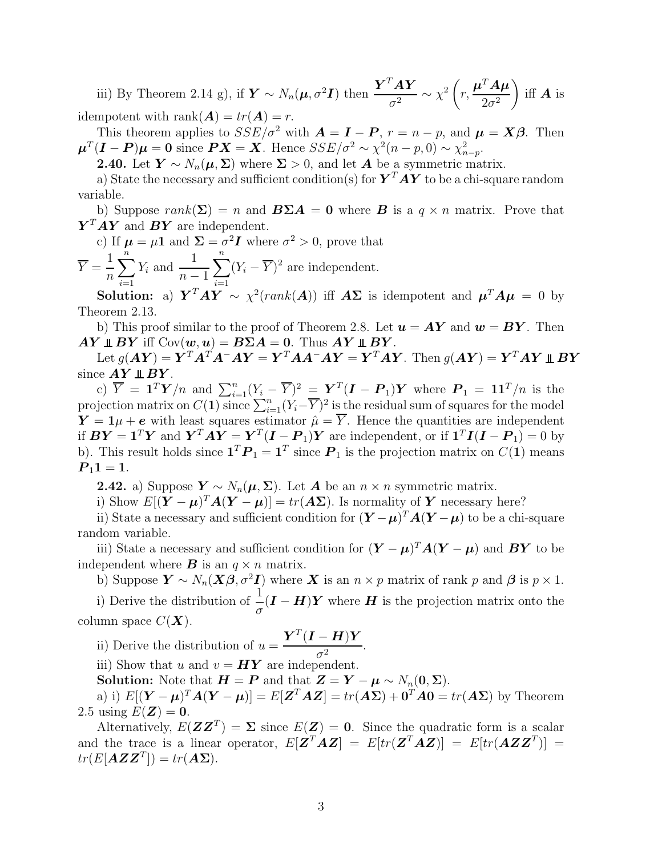iii) By Theorem 2.14 g), if  $\boldsymbol{Y} \sim N_n(\boldsymbol{\mu}, \sigma^2 \boldsymbol{I})$  then  $\frac{\boldsymbol{Y}^T \boldsymbol{A} \boldsymbol{Y}}{\sigma^2}$  $\frac{d\boldsymbol{Y}}{\sigma^2} \sim \chi^2 \left( \boldsymbol{\xi} \right)$ r,  $\boldsymbol{\mu}^T\boldsymbol{A}\boldsymbol{\mu}$  $2\sigma^2$ ) iff  $\boldsymbol{A}$  is idempotent with rank $(A) = tr(A) = r$ .

This theorem applies to  $SSE/\sigma^2$  with  $\mathbf{A} = \mathbf{I} - \mathbf{P}$ ,  $r = n - p$ , and  $\mathbf{\mu} = \mathbf{X}\boldsymbol{\beta}$ . Then  $\mu^T(I-P)\mu=0$  since  $PX=X$ . Hence  $SSE/\sigma^2 \sim \chi^2(n-p,0) \sim \chi^2_{n-p}$ .

**2.40.** Let  $Y \sim N_n(\mu, \Sigma)$  where  $\Sigma > 0$ , and let A be a symmetric matrix.

a) State the necessary and sufficient condition(s) for  $\bm{Y}^T\bm{A}\bm{Y}$  to be a chi-square random variable.

b) Suppose  $rank(\Sigma) = n$  and  $B\Sigma A = 0$  where B is a  $q \times n$  matrix. Prove that  $\boldsymbol{Y}^T \boldsymbol{A} \boldsymbol{Y}$  and  $\boldsymbol{B} \boldsymbol{Y}$  are independent.

c) If  $\mu = \mu \mathbf{1}$  and  $\Sigma = \sigma^2 \mathbf{I}$  where  $\sigma^2 > 0$ , prove that

 $Y =$ 1 n  $\sum_{n=1}^{\infty}$  $i=1$  $Y_i$  and  $\frac{1}{\pi}$  $n-1$  $\sum_{n=1}^{\infty}$  $i=1$  $(Y_i - \overline{Y})^2$  are independent.

**Solution:** a)  $\boldsymbol{Y}^T \boldsymbol{A} \boldsymbol{Y} \sim \chi^2(rank(\boldsymbol{A}))$  iff  $\boldsymbol{A} \boldsymbol{\Sigma}$  is idempotent and  $\boldsymbol{\mu}^T \boldsymbol{A} \boldsymbol{\mu} = 0$  by Theorem 2.13.

b) This proof similar to the proof of Theorem 2.8. Let  $u = AY$  and  $w = BY$ . Then  $AY \perp\!\!\!\perp BY$  iff  $\text{Cov}(\boldsymbol{w},\boldsymbol{u}) = B\Sigma A = 0$ . Thus  $AY \perp\!\!\!\perp BY$ .

 $\mathrm{Let}\ g(\boldsymbol A\boldsymbol Y)=\dot{\boldsymbol Y}^T\dot{\boldsymbol A}^T\dot{\boldsymbol A}^-\boldsymbol A\boldsymbol Y=\boldsymbol Y^T\boldsymbol A\boldsymbol A^-\boldsymbol A\boldsymbol Y=\boldsymbol Y^T\boldsymbol A\boldsymbol Y. \ \mathrm{Then}\ g(\boldsymbol A\boldsymbol Y)=\boldsymbol Y^T\boldsymbol A\boldsymbol Y\boldsymbol{\perp}\boldsymbol B\boldsymbol Y$ since  $AY \perp \!\!\!\perp BY$ .

c)  $\overline{Y} = \mathbf{1}^T \mathbf{Y}/n$  and  $\sum_{i=1}^n (Y_i - \overline{Y})^2 = \mathbf{Y}^T (\mathbf{I} - \mathbf{P}_1) \mathbf{Y}$  where  $\mathbf{P}_1 = \mathbf{1} \mathbf{1}^T/n$  is the projection matrix on  $C(1)$  since  $\sum_{i=1}^{n}(Y_i-\overline{Y})^2$  is the residual sum of squares for the model  $Y = 1\mu + e$  with least squares estimator  $\mu = \overline{Y}$ . Hence the quantities are independent if  $BY = \mathbf{1}^T Y$  and  $\mathbf{Y}^T A Y = \mathbf{Y}^T (I - P_1) Y$  are independent, or if  $\mathbf{1}^T I (I - P_1) = 0$  by b). This result holds since  $\mathbf{1}^T \boldsymbol{P}_1 = \mathbf{1}^T$  since  $\boldsymbol{P}_1$  is the projection matrix on  $C(\mathbf{1})$  means  $P_1 1 = 1.$ 

**2.42.** a) Suppose  $Y \sim N_n(\mu, \Sigma)$ . Let **A** be an  $n \times n$  symmetric matrix.

i) Show  $E[(\boldsymbol{Y}-\boldsymbol{\mu})^T\boldsymbol{A}(\boldsymbol{Y}-\boldsymbol{\mu})]=tr(\boldsymbol{A}\boldsymbol{\Sigma})$ . Is normality of  $\boldsymbol{Y}$  necessary here?

ii) State a necessary and sufficient condition for  $(Y - \mu)^T A (Y - \mu)$  to be a chi-square random variable.

iii) State a necessary and sufficient condition for  $(Y - \mu)^T A (Y - \mu)$  and  $BY$  to be independent where **B** is an  $q \times n$  matrix.

b) Suppose  $\mathbf{Y} \sim N_n(\mathbf{X}\boldsymbol{\beta}, \sigma^2 \mathbf{I})$  where  $\mathbf{X}$  is an  $n \times p$  matrix of rank p and  $\boldsymbol{\beta}$  is  $p \times 1$ . i) Derive the distribution of  $\frac{1}{1}$  $\frac{1}{\sigma}(\boldsymbol{I} - \boldsymbol{H})\boldsymbol{Y}$  where  $\boldsymbol{H}$  is the projection matrix onto the column space  $C(\mathbf{X})$ .

ii) Derive the distribution of  $u =$  $\bm{Y}^T(\bm{I}-\bm{H})\bm{Y}$  $\frac{1}{\sigma^2}$ .

iii) Show that u and  $v = HY$  are independent.

Solution: Note that  $H = P$  and that  $Z = Y - \mu \sim N_n(0, \Sigma)$ .

a) i)  $E[(\boldsymbol{Y}-\boldsymbol{\mu})^T\boldsymbol{A}(\boldsymbol{Y}-\boldsymbol{\mu})] = E[\boldsymbol{Z}^T\boldsymbol{A}\boldsymbol{Z}] = tr(\boldsymbol{A}\boldsymbol{\Sigma}) + \boldsymbol{0}^T\boldsymbol{A}\boldsymbol{0} = tr(\boldsymbol{A}\boldsymbol{\Sigma})$  by Theorem 2.5 using  $E(\mathbf{Z}) = 0$ .

Alternatively,  $E(\mathbf{Z}\mathbf{Z}^T) = \Sigma$  since  $E(\mathbf{Z}) = 0$ . Since the quadratic form is a scalar and the trace is a linear operator,  $E[\mathbf{Z}^T \mathbf{A} \mathbf{Z}] = E[tr(\mathbf{Z}^T \mathbf{A} \mathbf{Z})] = E[tr(\mathbf{A} \mathbf{Z} \mathbf{Z}^T)] =$  $tr(E[\mathbf{AZZ}^T]) = tr(\mathbf{AZ}).$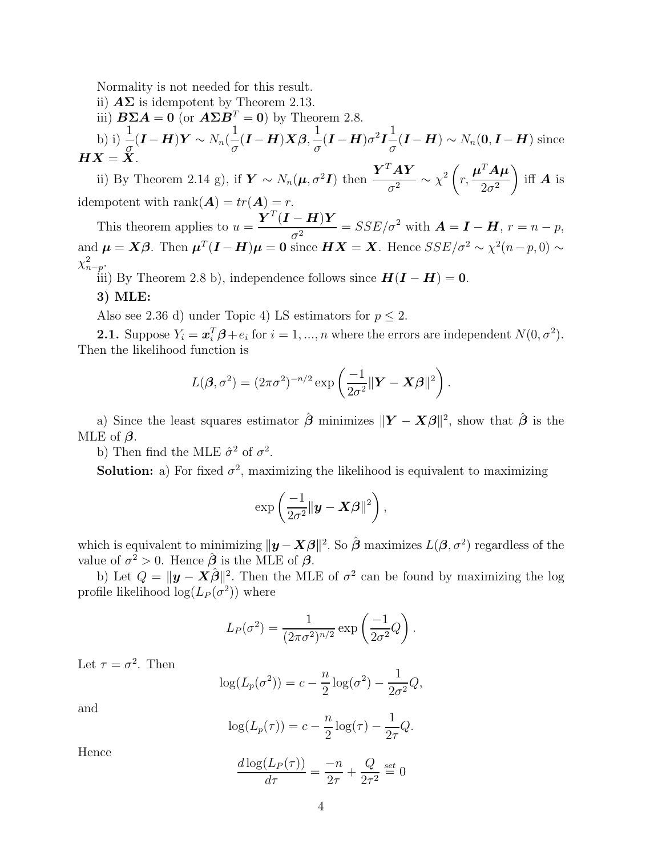Normality is not needed for this result.

- ii)  $\mathbf{A}\Sigma$  is idempotent by Theorem 2.13.
- iii)  $\mathbf{B} \Sigma \mathbf{A} = \mathbf{0}$  (or  $\mathbf{A} \Sigma \mathbf{B}^T = \mathbf{0}$ ) by Theorem 2.8.

b) i) 
$$
\frac{1}{\sigma}(\mathbf{I} - \mathbf{H})\mathbf{Y} \sim N_n(\frac{1}{\sigma}(\mathbf{I} - \mathbf{H})\mathbf{X}\boldsymbol{\beta}, \frac{1}{\sigma}(\mathbf{I} - \mathbf{H})\sigma^2 \mathbf{I} \frac{1}{\sigma}(\mathbf{I} - \mathbf{H}) \sim N_n(\mathbf{0}, \mathbf{I} - \mathbf{H})
$$
 since  

$$
\mathbf{H}\mathbf{X} = \mathbf{X}.
$$

ii) By Theorem 2.14 g), if  $\boldsymbol{Y} \sim N_n(\boldsymbol{\mu}, \sigma^2 \boldsymbol{I})$  then  $\frac{\boldsymbol{Y}^T \boldsymbol{A} \boldsymbol{Y}}{\sigma^2}$  $\frac{d^{2}A\boldsymbol{Y}}{\sigma^{2}}\sim\chi^{2}\left(\boldsymbol{\beta}\right)$ r,  $\boldsymbol{\mu}^T\boldsymbol{A}\boldsymbol{\mu}$  $2\sigma^2$  $\setminus$ iff  $\boldsymbol{A}$  is idempotent with  $\text{rank}(\mathbf{A}) = tr(\mathbf{A}) = r$ .

This theorem applies to  $u =$  $\bm{Y}^T(\bm{I}-\bm{H})\bm{Y}$  $\frac{(-1)^n}{\sigma^2} = SSE/\sigma^2$  with  $\mathbf{A} = \mathbf{I} - \mathbf{H}$ ,  $r = n - p$ , and  $\mu = X\beta$ . Then  $\mu^T(I-H)\mu = 0$  since  $HX = X$ . Hence  $SSE/\sigma^2 \sim \chi^2(n-p,0) \sim$  $\chi^2_{n-p}$ .

iii) By Theorem 2.8 b), independence follows since  $H(I - H) = 0$ .

## 3) MLE:

Also see 2.36 d) under Topic 4) LS estimators for  $p \leq 2$ .

**2.1.** Suppose  $Y_i = \boldsymbol{x}_i^T \boldsymbol{\beta} + e_i$  for  $i = 1, ..., n$  where the errors are independent  $N(0, \sigma^2)$ . Then the likelihood function is

$$
L(\boldsymbol{\beta}, \sigma^2) = (2\pi\sigma^2)^{-n/2} \exp\left(\frac{-1}{2\sigma^2} \|\mathbf{Y} - \mathbf{X}\boldsymbol{\beta}\|^2\right).
$$

a) Since the least squares estimator  $\hat{\boldsymbol{\beta}}$  minimizes  $\|\boldsymbol{Y} - \boldsymbol{X}\boldsymbol{\beta}\|^2$ , show that  $\hat{\boldsymbol{\beta}}$  is the MLE of  $\beta$ .

b) Then find the MLE  $\hat{\sigma}^2$  of  $\sigma^2$ .

**Solution:** a) For fixed  $\sigma^2$ , maximizing the likelihood is equivalent to maximizing

$$
\exp\left(\frac{-1}{2\sigma^2} \|\boldsymbol{y} - \boldsymbol{X}\boldsymbol{\beta}\|^2\right),\
$$

which is equivalent to minimizing  $||\mathbf{y} - \mathbf{X}\boldsymbol{\beta}||^2$ . So  $\hat{\boldsymbol{\beta}}$  maximizes  $L(\boldsymbol{\beta}, \sigma^2)$  regardless of the value of  $\sigma^2 > 0$ . Hence  $\hat{\boldsymbol{\beta}}$  is the MLE of  $\boldsymbol{\beta}$ .

b) Let  $Q = ||\mathbf{y} - \mathbf{X}\hat{\boldsymbol{\beta}}||^2$ . Then the MLE of  $\sigma^2$  can be found by maximizing the log profile likelihood  $\log(L_P(\sigma^2))$  where

$$
L_P(\sigma^2) = \frac{1}{(2\pi\sigma^2)^{n/2}} \exp\left(\frac{-1}{2\sigma^2}Q\right).
$$

Let  $\tau = \sigma^2$ . Then

$$
\log(L_p(\sigma^2)) = c - \frac{n}{2}\log(\sigma^2) - \frac{1}{2\sigma^2}Q,
$$

and

$$
log(L_p(\tau)) = c - \frac{n}{2}log(\tau) - \frac{1}{2\tau}Q.
$$

Hence

$$
\frac{d \log(L_P(\tau))}{d \tau} = \frac{-n}{2\tau} + \frac{Q}{2\tau^2} \stackrel{set}{=} 0
$$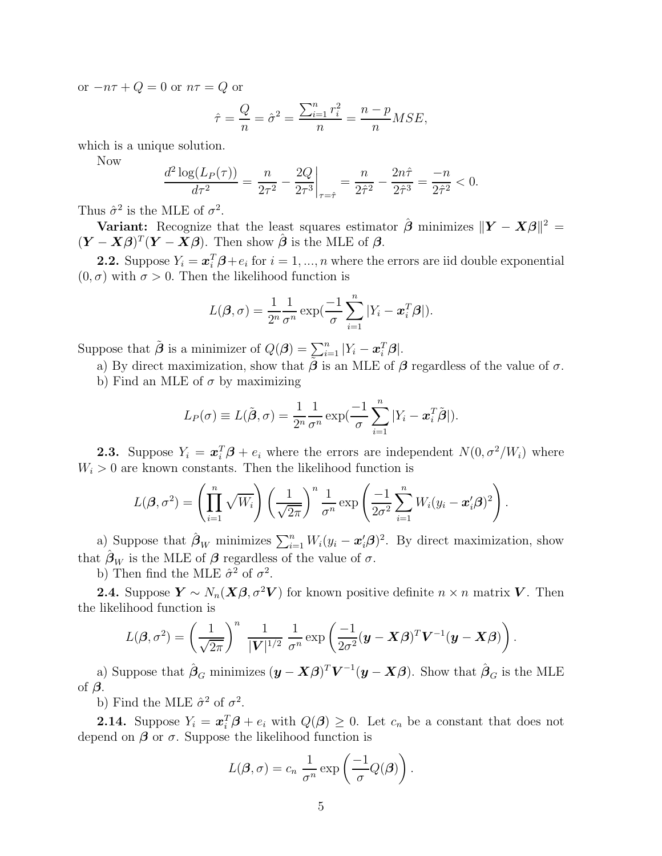or  $-n\tau + Q = 0$  or  $n\tau = Q$  or

$$
\hat{\tau} = \frac{Q}{n} = \hat{\sigma}^2 = \frac{\sum_{i=1}^n r_i^2}{n} = \frac{n-p}{n} MSE,
$$

which is a unique solution.

Now

$$
\frac{d^2 \log(L_P(\tau))}{d\tau^2} = \frac{n}{2\tau^2} - \frac{2Q}{2\tau^3}\bigg|_{\tau=\hat{\tau}} = \frac{n}{2\hat{\tau}^2} - \frac{2n\hat{\tau}}{2\hat{\tau}^3} = \frac{-n}{2\hat{\tau}^2} < 0.
$$

Thus  $\hat{\sigma}^2$  is the MLE of  $\sigma^2$ .

Variant: Recognize that the least squares estimator  $\hat{\boldsymbol{\beta}}$  minimizes  $\|\boldsymbol{Y} - \boldsymbol{X}\boldsymbol{\beta}\|^2 =$  $(Y - X\beta)^T(Y - \overline{X}\beta)$ . Then show  $\hat{\beta}$  is the MLE of  $\beta$ .

**2.2.** Suppose  $Y_i = \boldsymbol{x}_i^T \boldsymbol{\beta} + e_i$  for  $i = 1, ..., n$  where the errors are iid double exponential  $(0, \sigma)$  with  $\sigma > 0$ . Then the likelihood function is

$$
L(\boldsymbol{\beta}, \sigma) = \frac{1}{2^n} \frac{1}{\sigma^n} \exp(\frac{-1}{\sigma} \sum_{i=1}^n |Y_i - \boldsymbol{x}_i^T \boldsymbol{\beta}|).
$$

Suppose that  $\tilde{\boldsymbol{\beta}}$  is a minimizer of  $Q(\boldsymbol{\beta}) = \sum_{i=1}^n |Y_i - \boldsymbol{x}_i^T \boldsymbol{\beta}|.$ 

a) By direct maximization, show that  $\tilde{\beta}$  is an MLE of  $\beta$  regardless of the value of  $\sigma$ .

b) Find an MLE of  $\sigma$  by maximizing

$$
L_P(\sigma) \equiv L(\tilde{\boldsymbol{\beta}}, \sigma) = \frac{1}{2^n} \frac{1}{\sigma^n} \exp(\frac{-1}{\sigma} \sum_{i=1}^n |Y_i - \boldsymbol{x}_i^T \tilde{\boldsymbol{\beta}}|).
$$

**2.3.** Suppose  $Y_i = \boldsymbol{x}_i^T \boldsymbol{\beta} + e_i$  where the errors are independent  $N(0, \sigma^2/W_i)$  where  $W_i > 0$  are known constants. Then the likelihood function is

$$
L(\boldsymbol{\beta}, \sigma^2) = \left(\prod_{i=1}^n \sqrt{W_i}\right) \left(\frac{1}{\sqrt{2\pi}}\right)^n \frac{1}{\sigma^n} \exp\left(\frac{-1}{2\sigma^2} \sum_{i=1}^n W_i (y_i - \boldsymbol{x}_i' \boldsymbol{\beta})^2\right).
$$

a) Suppose that  $\hat{\boldsymbol{\beta}}_W$  minimizes  $\sum_{i=1}^n W_i(y_i - \boldsymbol{x}_i^t \boldsymbol{\beta})^2$ . By direct maximization, show that  $\hat{\beta}_W$  is the MLE of  $\beta$  regardless of the value of  $\sigma$ .

b) Then find the MLE  $\hat{\sigma}^2$  of  $\sigma^2$ .

**2.4.** Suppose  $\mathbf{Y} \sim N_n(\mathbf{X}\boldsymbol{\beta}, \sigma^2 \mathbf{V})$  for known positive definite  $n \times n$  matrix  $\mathbf{V}$ . Then the likelihood function is

$$
L(\boldsymbol{\beta}, \sigma^2) = \left(\frac{1}{\sqrt{2\pi}}\right)^n \frac{1}{|\mathbf{V}|^{1/2}} \frac{1}{\sigma^n} \exp\left(\frac{-1}{2\sigma^2} (\mathbf{y} - \mathbf{X}\boldsymbol{\beta})^T \mathbf{V}^{-1} (\mathbf{y} - \mathbf{X}\boldsymbol{\beta})\right).
$$

a) Suppose that  $\hat{\beta}_G$  minimizes  $(y - X\beta)^T V^{-1}(y - X\beta)$ . Show that  $\hat{\beta}_G$  is the MLE of  $\beta$ .

b) Find the MLE  $\hat{\sigma}^2$  of  $\sigma^2$ .

**2.14.** Suppose  $Y_i = \boldsymbol{x}_i^T \boldsymbol{\beta} + e_i$  with  $Q(\boldsymbol{\beta}) \geq 0$ . Let  $c_n$  be a constant that does not depend on  $\beta$  or  $\sigma$ . Suppose the likelihood function is

$$
L(\boldsymbol{\beta}, \sigma) = c_n \frac{1}{\sigma^n} \exp \left( \frac{-1}{\sigma} Q(\boldsymbol{\beta}) \right).
$$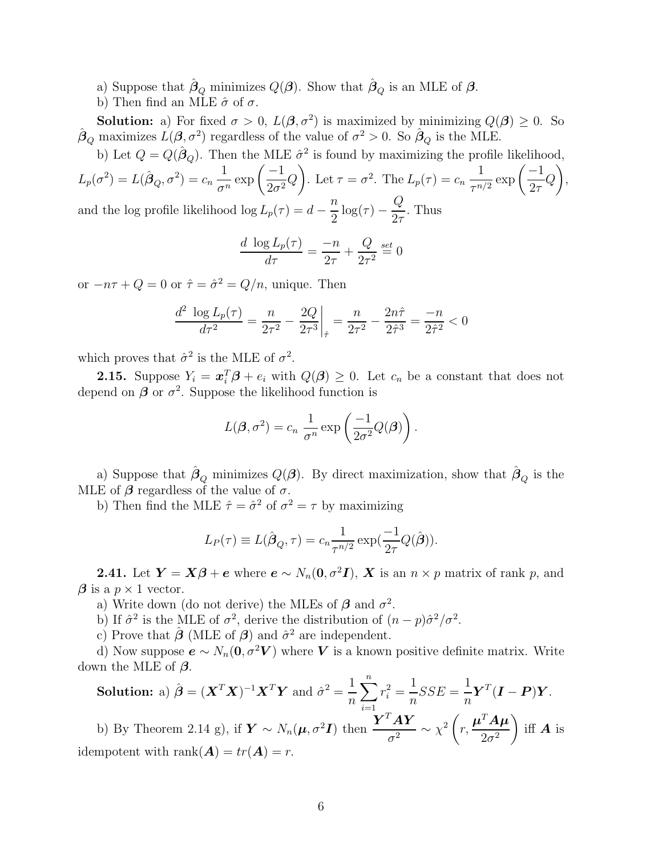a) Suppose that  $\hat{\beta}_Q$  minimizes  $Q(\beta)$ . Show that  $\hat{\beta}_Q$  is an MLE of  $\beta$ .

b) Then find an MLE  $\hat{\sigma}$  of  $\sigma$ .

**Solution:** a) For fixed  $\sigma > 0$ ,  $L(\beta, \sigma^2)$  is maximized by minimizing  $Q(\beta) \geq 0$ . So  $\hat{\boldsymbol{\beta}}_Q$  maximizes  $\hat{L}(\boldsymbol{\beta}, \sigma^2)$  regardless of the value of  $\sigma^2 > 0$ . So  $\hat{\boldsymbol{\beta}}_Q$  is the MLE.

b) Let  $Q = Q(\hat{\beta}_Q)$ . Then the MLE  $\hat{\sigma}^2$  is found by maximizing the profile likelihood,

 $L_p(\sigma^2) = L(\hat{\boldsymbol{\beta}}_Q, \sigma^2) = c_n$ 1  $\frac{1}{\sigma^n} \exp\left(\frac{-1}{2\sigma^2}\right)$  $\frac{1}{2\sigma^2}Q$  $\setminus$ . Let  $\tau = \sigma^2$ . The  $L_p(\tau) = c_n$ 1  $\frac{1}{\tau^{n/2}} \exp\left(\frac{-1}{2\tau}\right)$  $2\tau$  $\,Q$  $\setminus$ , and the log profile likelihood  $\log L_p(\tau) = d$ n  $\frac{\pi}{2} \log(\tau)$  –  $\,Q$  $2\tau$ . Thus

$$
\frac{d \log L_p(\tau)}{d\tau} = \frac{-n}{2\tau} + \frac{Q}{2\tau^2} \stackrel{\text{set}}{=} 0
$$

or  $-n\tau + Q = 0$  or  $\hat{\tau} = \hat{\sigma}^2 = Q/n$ , unique. Then

$$
\frac{d^2 \log L_p(\tau)}{d\tau^2} = \frac{n}{2\tau^2} - \frac{2Q}{2\tau^3}\bigg|_{\hat{\tau}} = \frac{n}{2\tau^2} - \frac{2n\hat{\tau}}{2\hat{\tau}^3} = \frac{-n}{2\hat{\tau}^2} < 0
$$

which proves that  $\hat{\sigma}^2$  is the MLE of  $\sigma^2$ .

**2.15.** Suppose  $Y_i = \boldsymbol{x}_i^T \boldsymbol{\beta} + e_i$  with  $Q(\boldsymbol{\beta}) \geq 0$ . Let  $c_n$  be a constant that does not depend on  $\beta$  or  $\sigma^2$ . Suppose the likelihood function is

$$
L(\boldsymbol{\beta}, \sigma^2) = c_n \frac{1}{\sigma^n} \exp \left( \frac{-1}{2\sigma^2} Q(\boldsymbol{\beta}) \right).
$$

a) Suppose that  $\hat{\beta}_Q$  minimizes  $Q(\boldsymbol{\beta})$ . By direct maximization, show that  $\hat{\beta}_Q$  is the MLE of  $\beta$  regardless of the value of  $\sigma$ .

b) Then find the MLE  $\hat{\tau} = \hat{\sigma}^2$  of  $\sigma^2 = \tau$  by maximizing

$$
L_P(\tau) \equiv L(\hat{\boldsymbol{\beta}}_Q, \tau) = c_n \frac{1}{\tau^{n/2}} \exp(\frac{-1}{2\tau} Q(\hat{\boldsymbol{\beta}})).
$$

**2.41.** Let  $Y = X\beta + e$  where  $e \sim N_n(0, \sigma^2 I)$ , X is an  $n \times p$  matrix of rank p, and  $\beta$  is a  $p \times 1$  vector.

a) Write down (do not derive) the MLEs of  $\beta$  and  $\sigma^2$ .

b) If  $\hat{\sigma}^2$  is the MLE of  $\sigma^2$ , derive the distribution of  $(n-p)\hat{\sigma}^2/\sigma^2$ .

c) Prove that  $\hat{\boldsymbol{\beta}}$  (MLE of  $\boldsymbol{\beta}$ ) and  $\hat{\sigma}^2$  are independent.

d) Now suppose  $e \sim N_n(0, \sigma^2 V)$  where V is a known positive definite matrix. Write down the MLE of  $\beta$ .

**Solution:** a) 
$$
\hat{\boldsymbol{\beta}} = (\boldsymbol{X}^T \boldsymbol{X})^{-1} \boldsymbol{X}^T \boldsymbol{Y}
$$
 and  $\hat{\sigma}^2 = \frac{1}{n} \sum_{i=1}^n r_i^2 = \frac{1}{n} SSE = \frac{1}{n} \boldsymbol{Y}^T (\boldsymbol{I} - \boldsymbol{P}) \boldsymbol{Y}$ .  
b) By Theorem 2.14 g), if  $\boldsymbol{Y} \sim N_n(\boldsymbol{\mu}, \sigma^2 \boldsymbol{I})$  then  $\frac{\boldsymbol{Y}^T \boldsymbol{A} \boldsymbol{Y}}{\sigma^2} \sim \chi^2 \left(r, \frac{\boldsymbol{\mu}^T \boldsymbol{A} \boldsymbol{\mu}}{2\sigma^2}\right)$  iff  $\boldsymbol{A}$  is  
idempotent with rank $(\boldsymbol{A}) = tr(\boldsymbol{A}) = r$ .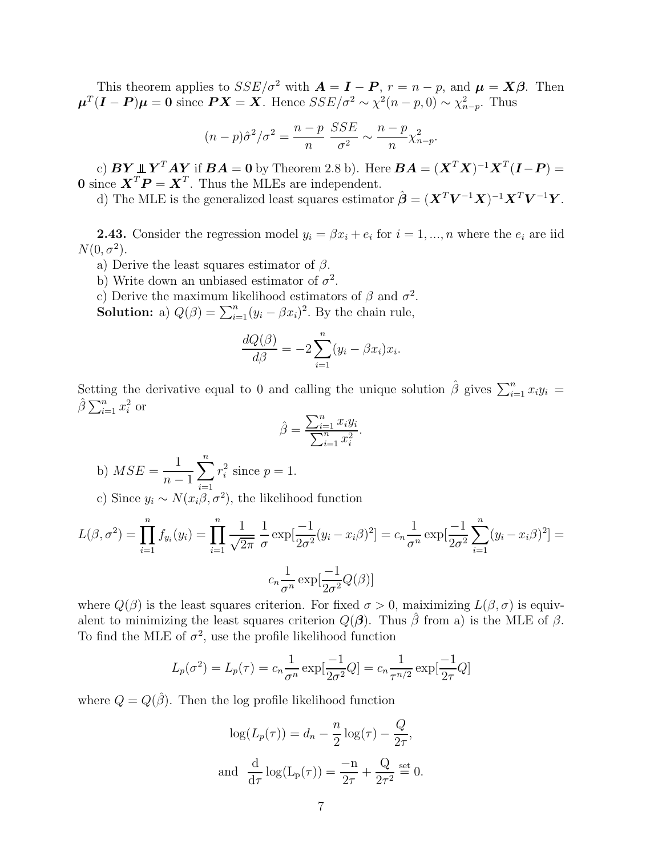This theorem applies to  $SSE/\sigma^2$  with  $\mathbf{A} = \mathbf{I} - \mathbf{P}$ ,  $r = n - p$ , and  $\mathbf{\mu} = \mathbf{X}\boldsymbol{\beta}$ . Then  $\mu^T(I-P)\mu=0$  since  $PX=X$ . Hence  $SSE/\sigma^2 \sim \chi^2(n-p,0) \sim \chi^2_{n-p}$ . Thus

$$
(n-p)\hat{\sigma}^2/\sigma^2 = \frac{n-p}{n} \frac{SSE}{\sigma^2} \sim \frac{n-p}{n} \chi^2_{n-p}.
$$

c)  $BY \perp Y^TAY$  if  $BA = 0$  by Theorem 2.8 b). Here  $BA = (X^TX)^{-1}X^T(I-P) =$ **0** since  $\mathbf{X}^T \mathbf{P} = \mathbf{X}^T$ . Thus the MLEs are independent.

d) The MLE is the generalized least squares estimator  $\hat{\boldsymbol{\beta}} = (\boldsymbol{X}^T \boldsymbol{V}^{-1} \boldsymbol{X})^{-1} \boldsymbol{X}^T \boldsymbol{V}^{-1} \boldsymbol{Y}$ .

**2.43.** Consider the regression model  $y_i = \beta x_i + e_i$  for  $i = 1, ..., n$  where the  $e_i$  are iid  $N(0, \sigma^2)$ .

a) Derive the least squares estimator of  $\beta$ .

b) Write down an unbiased estimator of  $\sigma^2$ .

c) Derive the maximum likelihood estimators of  $\beta$  and  $\sigma^2$ .

**Solution:** a)  $Q(\beta) = \sum_{i=1}^{n} (y_i - \beta x_i)^2$ . By the chain rule,

$$
\frac{dQ(\beta)}{d\beta} = -2\sum_{i=1}^{n} (y_i - \beta x_i)x_i.
$$

Setting the derivative equal to 0 and calling the unique solution  $\hat{\beta}$  gives  $\sum_{i=1}^{n} x_i y_i =$  $\hat{\beta} \sum_{i=1}^{n} x_i^2$  or

$$
\hat{\beta} = \frac{\sum_{i=1}^{n} x_i y_i}{\sum_{i=1}^{n} x_i^2}.
$$

b) 
$$
MSE = \frac{1}{n-1} \sum_{i=1}^{n} r_i^2
$$
 since  $p = 1$ .

c) Since  $y_i \sim N(x_i \beta, \sigma^2)$ , the likelihood function

$$
L(\beta, \sigma^2) = \prod_{i=1}^n f_{y_i}(y_i) = \prod_{i=1}^n \frac{1}{\sqrt{2\pi}} \frac{1}{\sigma} \exp[\frac{-1}{2\sigma^2}(y_i - x_i\beta)^2] = c_n \frac{1}{\sigma^n} \exp[\frac{-1}{2\sigma^2} \sum_{i=1}^n (y_i - x_i\beta)^2] = c_n \frac{1}{\sigma^n} \exp[\frac{-1}{2\sigma^2} Q(\beta)]
$$

where  $Q(\beta)$  is the least squares criterion. For fixed  $\sigma > 0$ , maiximizing  $L(\beta, \sigma)$  is equivalent to minimizing the least squares criterion  $Q(\boldsymbol{\beta})$ . Thus  $\hat{\beta}$  from a) is the MLE of  $\beta$ . To find the MLE of  $\sigma^2$ , use the profile likelihood function

$$
L_p(\sigma^2) = L_p(\tau) = c_n \frac{1}{\sigma^n} \exp[\frac{-1}{2\sigma^2} Q] = c_n \frac{1}{\tau^{n/2}} \exp[\frac{-1}{2\tau} Q]
$$

where  $Q = Q(\hat{\beta})$ . Then the log profile likelihood function

$$
\log(L_p(\tau)) = d_n - \frac{n}{2} \log(\tau) - \frac{Q}{2\tau},
$$
  
and 
$$
\frac{d}{d\tau} \log(L_p(\tau)) = \frac{-n}{2\tau} + \frac{Q}{2\tau^2} \stackrel{\text{set}}{=} 0.
$$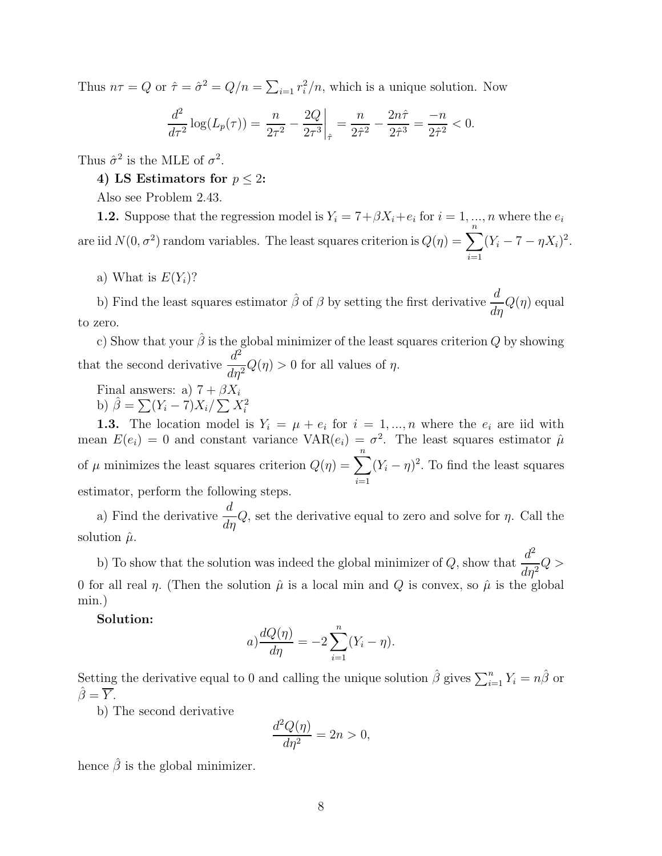Thus  $n\tau = Q$  or  $\hat{\tau} = \hat{\sigma}^2 = Q/n = \sum_{i=1}^n r_i^2/n$ , which is a unique solution. Now

$$
\frac{d^2}{d\tau^2} \log(L_p(\tau)) = \frac{n}{2\tau^2} - \frac{2Q}{2\tau^3} \bigg|_{\hat{\tau}} = \frac{n}{2\hat{\tau}^2} - \frac{2n\hat{\tau}}{2\hat{\tau}^3} = \frac{-n}{2\hat{\tau}^2} < 0.
$$

Thus  $\hat{\sigma}^2$  is the MLE of  $\sigma^2$ .

# 4) LS Estimators for  $p < 2$ :

Also see Problem 2.43.

**1.2.** Suppose that the regression model is  $Y_i = 7 + \beta X_i + e_i$  for  $i = 1, ..., n$  where the  $e_i$ are iid  $N(0, \sigma^2)$  random variables. The least squares criterion is  $Q(\eta) = \sum_{n=1}^{\infty}$  $i=1$  $(Y_i - 7 - \eta X_i)^2$ .

a) What is  $E(Y_i)$ ?

b) Find the least squares estimator  $\hat{\beta}$  of  $\beta$  by setting the first derivative  $\frac{d}{d\eta}Q(\eta)$  equal to zero.

c) Show that your  $\hat{\beta}$  is the global minimizer of the least squares criterion Q by showing that the second derivative  $\frac{d^2}{dt^2}$  $\frac{d}{d\eta^2}Q(\eta) > 0$  for all values of  $\eta$ .

Final answers: a)  $7 + \beta X_i$ b)  $\hat{\beta} = \sum (Y_i - 7)X_i / \sum X_i^2$ 

**1.3.** The location model is  $Y_i = \mu + e_i$  for  $i = 1, ..., n$  where the  $e_i$  are iid with mean  $E(e_i) = 0$  and constant variance  $VAR(e_i) = \sigma^2$ . The least squares estimator  $\hat{\mu}$ of  $\mu$  minimizes the least squares criterion  $Q(\eta) = \sum_{n=1}^{\infty}$  $i=1$  $(Y_i - \eta)^2$ . To find the least squares estimator, perform the following steps.

a) Find the derivative  $\frac{d}{dt}$  $\frac{d}{d\eta}Q$ , set the derivative equal to zero and solve for  $\eta$ . Call the solution  $\hat{\mu}$ .

b) To show that the solution was indeed the global minimizer of Q, show that  $\frac{d^2}{dt^2}$  $\frac{d}{d\eta^2}Q >$ 0 for all real  $\eta$ . (Then the solution  $\hat{\mu}$  is a local min and Q is convex, so  $\hat{\mu}$  is the global min.)

Solution:

$$
a) \frac{dQ(\eta)}{d\eta} = -2 \sum_{i=1}^{n} (Y_i - \eta).
$$

Setting the derivative equal to 0 and calling the unique solution  $\hat{\beta}$  gives  $\sum_{i=1}^{n} Y_i = n\hat{\beta}$  or  $\hat{\beta} = \overline{Y}$ .

b) The second derivative

$$
\frac{d^2Q(\eta)}{d\eta^2} = 2n > 0,
$$

hence  $\hat{\beta}$  is the global minimizer.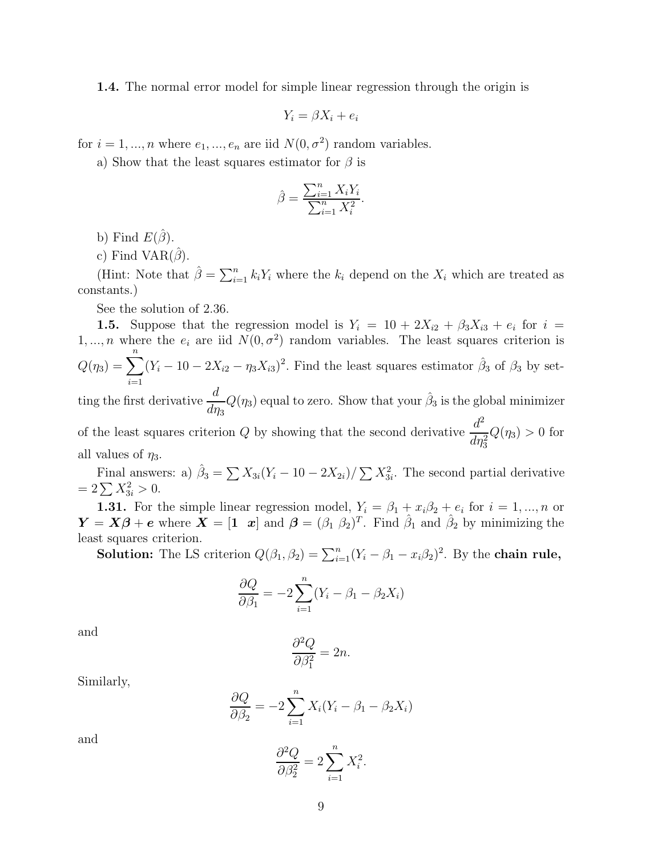1.4. The normal error model for simple linear regression through the origin is

$$
Y_i = \beta X_i + e_i
$$

for  $i = 1, ..., n$  where  $e_1, ..., e_n$  are iid  $N(0, \sigma^2)$  random variables.

a) Show that the least squares estimator for  $\beta$  is

$$
\hat{\beta} = \frac{\sum_{i=1}^{n} X_i Y_i}{\sum_{i=1}^{n} X_i^2}.
$$

b) Find  $E(\hat{\beta})$ .

c) Find VAR $(\hat{\beta})$ .

(Hint: Note that  $\hat{\beta} = \sum_{i=1}^{n} k_i Y_i$  where the  $k_i$  depend on the  $X_i$  which are treated as constants.)

See the solution of 2.36.

1.5. Suppose that the regression model is  $Y_i = 10 + 2X_{i2} + \beta_3 X_{i3} + e_i$  for  $i =$ 1,..., *n* where the  $e_i$  are iid  $N(0, \sigma^2)$  random variables. The least squares criterion is  $Q(\eta_3) = \sum^{n}$  $\frac{i=1}{i}$  $(Y_i - 10 - 2X_{i2} - \eta_3 X_{i3})^2$ . Find the least squares estimator  $\hat{\beta}_3$  of  $\beta_3$  by setting the first derivative  $\frac{d}{dt}$  $d\eta_3$  $Q(\eta_3)$  equal to zero. Show that your  $\hat{\beta}_3$  is the global minimizer

of the least squares criterion Q by showing that the second derivative  $\frac{d^2}{dt^2}$  $d\eta_3^2$  $Q(\eta_3) > 0$  for all values of  $\eta_3$ .

Final answers: a)  $\hat{\beta}_3 = \sum X_{3i}(Y_i - 10 - 2X_{2i}) / \sum X_{3i}^2$ . The second partial derivative  $= 2 \sum X_{3i}^2 > 0.$ 

**1.31.** For the simple linear regression model,  $Y_i = \beta_1 + x_i\beta_2 + e_i$  for  $i = 1, ..., n$  or  $\boldsymbol{Y} = \boldsymbol{X}\boldsymbol{\beta} + \boldsymbol{e}$  where  $\boldsymbol{X} = \begin{bmatrix} 1 & x \end{bmatrix}$  and  $\boldsymbol{\beta} = (\beta_1 \ \beta_2)^T$ . Find  $\hat{\beta}_1$  and  $\hat{\beta}_2$  by minimizing the least squares criterion.

**Solution:** The LS criterion  $Q(\beta_1, \beta_2) = \sum_{i=1}^n (Y_i - \beta_1 - x_i\beta_2)^2$ . By the **chain rule**,

$$
\frac{\partial Q}{\partial \beta_1} = -2 \sum_{i=1}^n (Y_i - \beta_1 - \beta_2 X_i)
$$

and

$$
\frac{\partial^2 Q}{\partial \beta_1^2} = 2n.
$$

Similarly,

$$
\frac{\partial Q}{\partial \beta_2} = -2 \sum_{i=1}^n X_i (Y_i - \beta_1 - \beta_2 X_i)
$$

and

$$
\frac{\partial^2 Q}{\partial \beta_2^2} = 2 \sum_{i=1}^n X_i^2.
$$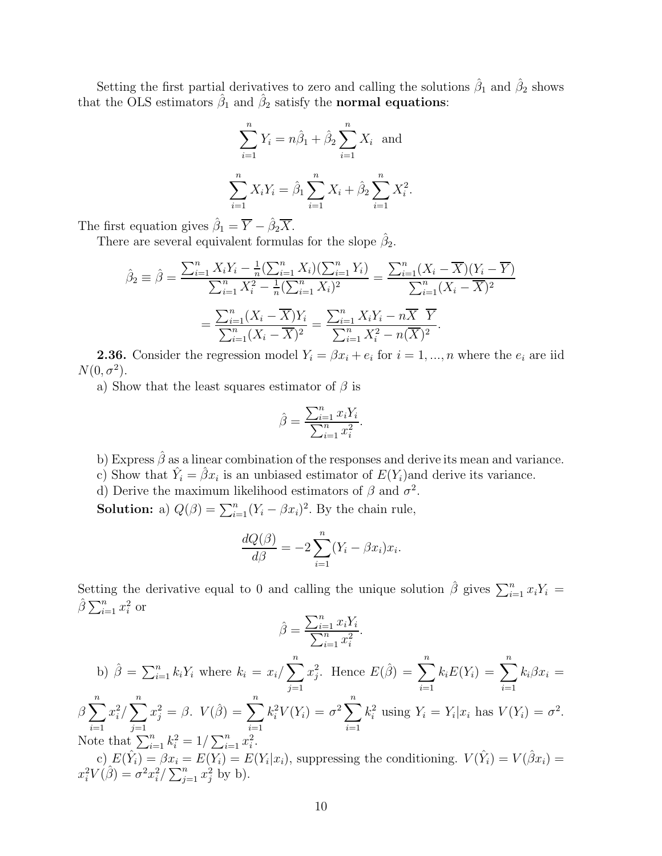Setting the first partial derivatives to zero and calling the solutions  $\hat{\beta}_1$  and  $\hat{\beta}_2$  shows that the OLS estimators  $\hat{\beta}_1$  and  $\hat{\beta}_2$  satisfy the **normal equations**:

$$
\sum_{i=1}^{n} Y_i = n\hat{\beta}_1 + \hat{\beta}_2 \sum_{i=1}^{n} X_i \text{ and}
$$

$$
\sum_{i=1}^{n} X_i Y_i = \hat{\beta}_1 \sum_{i=1}^{n} X_i + \hat{\beta}_2 \sum_{i=1}^{n} X_i^2.
$$

The first equation gives  $\hat{\beta}_1 = \overline{Y} - \hat{\beta}_2 \overline{X}$ .

There are several equivalent formulas for the slope  $\hat{\beta}_2$ .

$$
\hat{\beta}_2 \equiv \hat{\beta} = \frac{\sum_{i=1}^n X_i Y_i - \frac{1}{n} (\sum_{i=1}^n X_i)(\sum_{i=1}^n Y_i)}{\sum_{i=1}^n X_i^2 - \frac{1}{n} (\sum_{i=1}^n X_i)^2} = \frac{\sum_{i=1}^n (X_i - \overline{X})(Y_i - \overline{Y})}{\sum_{i=1}^n (X_i - \overline{X})^2}
$$

$$
= \frac{\sum_{i=1}^n (X_i - \overline{X})Y_i}{\sum_{i=1}^n (X_i - \overline{X})^2} = \frac{\sum_{i=1}^n X_i Y_i - n\overline{X} \ \overline{Y}}{\sum_{i=1}^n X_i^2 - n(\overline{X})^2}.
$$

**2.36.** Consider the regression model  $Y_i = \beta x_i + e_i$  for  $i = 1, ..., n$  where the  $e_i$  are iid  $N(0, \sigma^2)$ .

a) Show that the least squares estimator of  $\beta$  is

$$
\hat{\beta} = \frac{\sum_{i=1}^{n} x_i Y_i}{\sum_{i=1}^{n} x_i^2}.
$$

b) Express  $\hat{\beta}$  as a linear combination of the responses and derive its mean and variance.

c) Show that  $\hat{Y}_i = \hat{\beta} x_i$  is an unbiased estimator of  $E(Y_i)$  and derive its variance.

d) Derive the maximum likelihood estimators of  $\beta$  and  $\sigma^2$ .

**Solution:** a)  $Q(\beta) = \sum_{i=1}^{n} (Y_i - \beta x_i)^2$ . By the chain rule,

$$
\frac{dQ(\beta)}{d\beta} = -2\sum_{i=1}^{n} (Y_i - \beta x_i)x_i.
$$

Setting the derivative equal to 0 and calling the unique solution  $\hat{\beta}$  gives  $\sum_{i=1}^{n} x_i Y_i =$  $\hat{\beta} \sum_{i=1}^{n} x_i^2$  or

$$
\hat{\beta} = \frac{\sum_{i=1}^{n} x_i Y_i}{\sum_{i=1}^{n} x_i^2}.
$$

b) 
$$
\hat{\beta} = \sum_{i=1}^{n} k_i Y_i
$$
 where  $k_i = x_i / \sum_{j=1}^{n} x_j^2$ . Hence  $E(\hat{\beta}) = \sum_{i=1}^{n} k_i E(Y_i) = \sum_{i=1}^{n} k_i \beta x_i = \beta \sum_{i=1}^{n} x_i^2 / \sum_{j=1}^{n} x_j^2 = \beta$ .  $V(\hat{\beta}) = \sum_{i=1}^{n} k_i^2 V(Y_i) = \sigma^2 \sum_{i=1}^{n} k_i^2$  using  $Y_i = Y_i | x_i$  has  $V(Y_i) = \sigma^2$ .  
Note that  $\sum_{i=1}^{n} k_i^2 = 1 / \sum_{i=1}^{n} x_i^2$ .

c)  $E(\hat{Y}_i) = \beta x_i = E(Y_i) = E(Y_i|x_i)$ , suppressing the conditioning.  $V(\hat{Y}_i) = V(\hat{\beta}x_i) =$  $x_i^2 V(\hat{\beta}) = \sigma^2 x_i^2 / \sum_{j=1}^n x_j^2$  by b).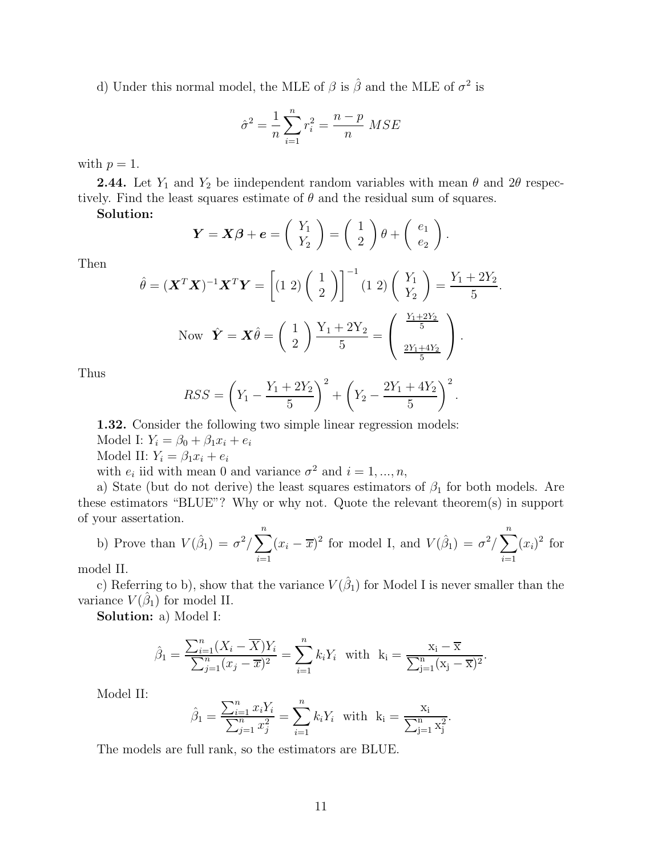d) Under this normal model, the MLE of  $\beta$  is  $\hat{\beta}$  and the MLE of  $\sigma^2$  is

$$
\hat{\sigma}^2 = \frac{1}{n} \sum_{i=1}^n r_i^2 = \frac{n-p}{n} \text{ MSE}
$$

with  $p=1$ .

**2.44.** Let  $Y_1$  and  $Y_2$  be iindependent random variables with mean  $\theta$  and  $2\theta$  respectively. Find the least squares estimate of  $\theta$  and the residual sum of squares.

Solution:

$$
\boldsymbol{Y} = \boldsymbol{X}\boldsymbol{\beta} + \boldsymbol{e} = \left(\begin{array}{c} Y_1 \\ Y_2 \end{array}\right) = \left(\begin{array}{c} 1 \\ 2 \end{array}\right) \theta + \left(\begin{array}{c} e_1 \\ e_2 \end{array}\right).
$$

Then

$$
\hat{\theta} = (\mathbf{X}^T \mathbf{X})^{-1} \mathbf{X}^T \mathbf{Y} = \left[ (1 \ 2) \left( \begin{array}{c} 1 \\ 2 \end{array} \right) \right]^{-1} (1 \ 2) \left( \begin{array}{c} Y_1 \\ Y_2 \end{array} \right) = \frac{Y_1 + 2Y_2}{5}
$$
  
Now  $\hat{\mathbf{Y}} = \mathbf{X} \hat{\theta} = \left( \begin{array}{c} 1 \\ 2 \end{array} \right) \frac{Y_1 + 2Y_2}{5} = \left( \begin{array}{c} \frac{Y_1 + 2Y_2}{5} \\ \frac{2Y_1 + 4Y_2}{5} \end{array} \right).$ 

.

Thus

$$
RSS = \left(Y_1 - \frac{Y_1 + 2Y_2}{5}\right)^2 + \left(Y_2 - \frac{2Y_1 + 4Y_2}{5}\right)^2.
$$

1.32. Consider the following two simple linear regression models: Model I:  $Y_i = \beta_0 + \beta_1 x_i + e_i$ 

Model II:  $Y_i = \beta_1 x_i + e_i$ 

with  $e_i$  iid with mean 0 and variance  $\sigma^2$  and  $i = 1, ..., n$ ,

a) State (but do not derive) the least squares estimators of  $\beta_1$  for both models. Are these estimators "BLUE"? Why or why not. Quote the relevant theorem(s) in support of your assertation.

b) Prove than 
$$
V(\hat{\beta}_1) = \sigma^2 / \sum_{i=1}^n (x_i - \overline{x})^2
$$
 for model I, and  $V(\hat{\beta}_1) = \sigma^2 / \sum_{i=1}^n (x_i)^2$  for  
del II

model II.

c) Referring to b), show that the variance  $V(\hat{\beta}_1)$  for Model I is never smaller than the variance  $V(\hat{\beta}_1)$  for model II.

Solution: a) Model I:

$$
\hat{\beta}_1 = \frac{\sum_{i=1}^n (X_i - \overline{X})Y_i}{\sum_{j=1}^n (x_j - \overline{x})^2} = \sum_{i=1}^n k_i Y_i \text{ with } k_i = \frac{x_i - \overline{x}}{\sum_{j=1}^n (x_j - \overline{x})^2}.
$$

Model II:

$$
\hat{\beta}_1 = \frac{\sum_{i=1}^n x_i Y_i}{\sum_{j=1}^n x_j^2} = \sum_{i=1}^n k_i Y_i
$$
 with  $k_i = \frac{x_i}{\sum_{j=1}^n x_j^2}$ .

The models are full rank, so the estimators are BLUE.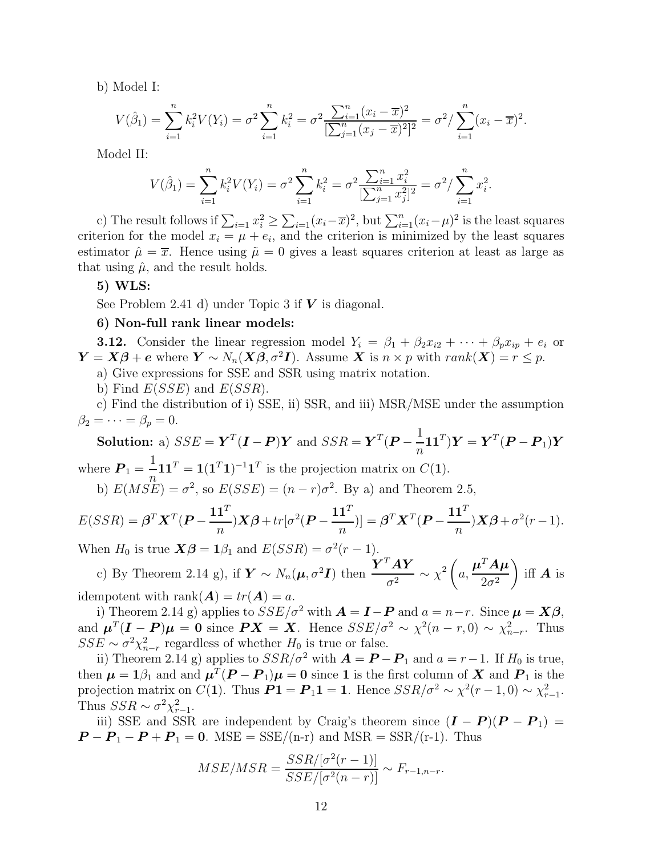b) Model I:

$$
V(\hat{\beta}_1) = \sum_{i=1}^n k_i^2 V(Y_i) = \sigma^2 \sum_{i=1}^n k_i^2 = \sigma^2 \frac{\sum_{i=1}^n (x_i - \overline{x})^2}{[\sum_{j=1}^n (x_j - \overline{x})^2]^2} = \sigma^2 / \sum_{i=1}^n (x_i - \overline{x})^2.
$$

Model II:

$$
V(\hat{\beta}_1) = \sum_{i=1}^n k_i^2 V(Y_i) = \sigma^2 \sum_{i=1}^n k_i^2 = \sigma^2 \frac{\sum_{i=1}^n x_i^2}{[\sum_{j=1}^n x_j^2]^2} = \sigma^2 / \sum_{i=1}^n x_i^2.
$$

c) The result follows if  $\sum_{i=1} x_i^2 \ge \sum_{i=1} (x_i - \overline{x})^2$ , but  $\sum_{i=1}^n (x_i - \mu)^2$  is the least squares criterion for the model  $x_i = \mu + e_i$ , and the criterion is minimized by the least squares estimator  $\hat{\mu} = \overline{x}$ . Hence using  $\tilde{\mu} = 0$  gives a least squares criterion at least as large as that using  $\hat{\mu}$ , and the result holds.

### 5) WLS:

See Problem 2.41 d) under Topic 3 if  $V$  is diagonal.

### 6) Non-full rank linear models:

**3.12.** Consider the linear regression model  $Y_i = \beta_1 + \beta_2 x_{i2} + \cdots + \beta_p x_{ip} + e_i$  or  $\mathbf{Y} = \mathbf{X}\boldsymbol{\beta} + \boldsymbol{e}$  where  $\mathbf{Y} \sim N_n(\mathbf{X}\boldsymbol{\beta}, \sigma^2\mathbf{I})$ . Assume  $\mathbf{X}$  is  $n \times p$  with  $rank(\mathbf{X}) = r \leq p$ .

a) Give expressions for SSE and SSR using matrix notation.

b) Find  $E(SSE)$  and  $E(SSR)$ .

c) Find the distribution of i) SSE, ii) SSR, and iii) MSR/MSE under the assumption  $\beta_2=\cdots=\beta_p=0.$ 

**Solution:** a) 
$$
SSE = \mathbf{Y}^T (\mathbf{I} - \mathbf{P}) \mathbf{Y}
$$
 and  $SSR = \mathbf{Y}^T (\mathbf{P} - \frac{1}{n} \mathbf{1} \mathbf{1}^T) \mathbf{Y} = \mathbf{Y}^T (\mathbf{P} - \mathbf{P}_1) \mathbf{Y}$   
where  $\mathbf{P}_1 = \frac{1}{n} \mathbf{1} \mathbf{1}^T = \mathbf{1} (\mathbf{1}^T \mathbf{1})^{-1} \mathbf{1}^T$  is the projection matrix on  $C(\mathbf{1})$ .

b) 
$$
E(MSE) = \sigma^2
$$
, so  $E(SSE) = (n - r)\sigma^2$ . By a) and Theorem 2.5,

$$
E(SSR) = \boldsymbol{\beta}^T \boldsymbol{X}^T (\boldsymbol{P} - \frac{\mathbf{1} \mathbf{1}^T}{n}) \boldsymbol{X} \boldsymbol{\beta} + tr[\sigma^2 (\boldsymbol{P} - \frac{\mathbf{1} \mathbf{1}^T}{n})] = \boldsymbol{\beta}^T \boldsymbol{X}^T (\boldsymbol{P} - \frac{\mathbf{1} \mathbf{1}^T}{n}) \boldsymbol{X} \boldsymbol{\beta} + \sigma^2 (r - 1).
$$

When  $H_0$  is true  $\mathbf{X}\boldsymbol{\beta} = \mathbf{1}\beta_1$  and  $E(SSR) = \sigma^2(r-1)$ .

c) By Theorem 2.14 g), if  $\boldsymbol{Y} \sim N_n(\boldsymbol{\mu}, \sigma^2 \boldsymbol{I})$  then  $\frac{\boldsymbol{Y}^T \boldsymbol{A} \boldsymbol{Y}}{\sigma^2}$  $\frac{d^{2}A\boldsymbol{Y}}{\sigma^{2}}\sim\chi^{2}\left(\boldsymbol{\beta}\right)$ a,  $\boldsymbol{\mu}^T\boldsymbol{A}\boldsymbol{\mu}$  $2\sigma^2$ ) iff  $\boldsymbol{A}$  is idempotent with rank $(A) = tr(A) = a$ .

i) Theorem 2.14 g) applies to  $SSE/\sigma^2$  with  $\mathbf{A} = \mathbf{I} - \mathbf{P}$  and  $a = n-r$ . Since  $\mathbf{\mu} = \mathbf{X}\boldsymbol{\beta}$ , and  $\mu^T(I - P)\mu = 0$  since  $PX = X$ . Hence  $SSE/\sigma^2 \sim \chi^2(n - r, 0) \sim \chi^2_{n-r}$ . Thus  $SSE \sim \sigma^2 \chi^2_{n-r}$  regardless of whether  $H_0$  is true or false.

ii) Theorem 2.14 g) applies to  $SSR/\sigma^2$  with  $\mathbf{A} = \mathbf{P} - \mathbf{P}_1$  and  $a = r - 1$ . If  $H_0$  is true, then  $\mu = 1\beta_1$  and and  $\mu^T (P - P_1)\mu = 0$  since 1 is the first column of X and  $P_1$  is the projection matrix on  $C(1)$ . Thus  $P1 = P_1 1 = 1$ . Hence  $SSR/\sigma^2 \sim \chi^2(r-1,0) \sim \chi^2_{r-1}$ . Thus  $SSR \sim \sigma^2 \chi^2_{r-1}$ .

iii) SSE and SSR are independent by Craig's theorem since  $(I - P)(P - P_1)$  $P - P_1 - P + P_1 = 0$ . MSE = SSE/(n-r) and MSR = SSR/(r-1). Thus

$$
MSE/MSR = \frac{SSR/[\sigma^2(r-1)]}{SSE/[\sigma^2(n-r)]} \sim F_{r-1,n-r}.
$$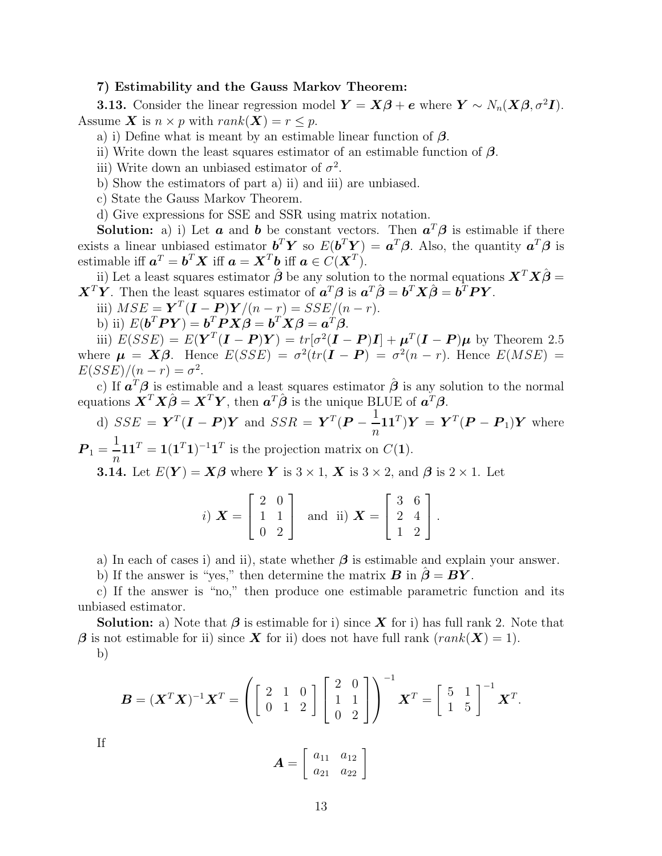#### 7) Estimability and the Gauss Markov Theorem:

**3.13.** Consider the linear regression model  $\mathbf{Y} = \mathbf{X}\boldsymbol{\beta} + \boldsymbol{e}$  where  $\mathbf{Y} \sim N_n(\mathbf{X}\boldsymbol{\beta}, \sigma^2\mathbf{I}).$ Assume X is  $n \times p$  with  $rank(X) = r \leq p$ .

- a) i) Define what is meant by an estimable linear function of  $\beta$ .
- ii) Write down the least squares estimator of an estimable function of  $\beta$ .
- iii) Write down an unbiased estimator of  $\sigma^2$ .
- b) Show the estimators of part a) ii) and iii) are unbiased.
- c) State the Gauss Markov Theorem.

d) Give expressions for SSE and SSR using matrix notation.

**Solution:** a) i) Let **a** and **b** be constant vectors. Then  $a^T\beta$  is estimable if there exists a linear unbiased estimator  $\boldsymbol{b}^T \boldsymbol{Y}$  so  $E(\boldsymbol{b}^T \boldsymbol{Y}) = \boldsymbol{a}^T \boldsymbol{\beta}$ . Also, the quantity  $\boldsymbol{a}^T \boldsymbol{\beta}$  is estimable iff  $a^T = b^T X$  iff  $a = X^T b$  iff  $a \in C(X^T)$ .

ii) Let a least squares estimator  $\hat{\boldsymbol{\beta}}$  be any solution to the normal equations  $\boldsymbol{X}^T\boldsymbol{X}\hat{\boldsymbol{\beta}}=$  $\boldsymbol{X}^T \boldsymbol{Y}$ . Then the least squares estimator of  $\boldsymbol{a}^T \boldsymbol{\beta}$  is  $\boldsymbol{a}^T \hat{\boldsymbol{\beta}} = \boldsymbol{b}^T \boldsymbol{X} \hat{\boldsymbol{\beta}} = \boldsymbol{b}^T \boldsymbol{P} \boldsymbol{Y}$ .

- iii)  $MSE = \boldsymbol{Y}^T(\boldsymbol{I} \boldsymbol{P})\boldsymbol{Y}/(n-r) = SSE/(n-r).$
- b) ii)  $E(\boldsymbol{b}^T \boldsymbol{P} \boldsymbol{Y}) = \boldsymbol{b}^T \boldsymbol{P} \boldsymbol{X} \boldsymbol{\beta} = \boldsymbol{b}^T \boldsymbol{X} \boldsymbol{\beta} = \boldsymbol{a}^T \boldsymbol{\beta}.$

iii)  $E(SSE) = E(Y<sup>T</sup>(\mathbf{I} - \mathbf{P})Y) = tr[\sigma^{2}(\mathbf{I} - \mathbf{P})\mathbf{I}] + \boldsymbol{\mu}^{T}(\mathbf{I} - \mathbf{P})\boldsymbol{\mu}$  by Theorem 2.5 where  $\mu = X\beta$ . Hence  $E(SSE) = \sigma^2(tr(\mathbf{I} - \mathbf{P}) = \sigma^2(n-r)$ . Hence  $E(MSE) =$  $E(SSE)/(n-r) = \sigma^2$ .

c) If  $a^T \beta$  is estimable and a least squares estimator  $\hat{\beta}$  is any solution to the normal equations  $\boldsymbol{X}^T \boldsymbol{X} \hat{\boldsymbol{\beta}} = \boldsymbol{X}^T \boldsymbol{Y}$ , then  $\boldsymbol{a}^T \hat{\boldsymbol{\beta}}$  is the unique BLUE of  $\boldsymbol{a}^T \boldsymbol{\beta}$ .

d)  $SSE = \boldsymbol{Y}^T(\boldsymbol{I} - \boldsymbol{P})\boldsymbol{Y}$  and  $SSR = \boldsymbol{Y}^T(\boldsymbol{P} - \frac{1}{n})$  $\overline{n}$  $(\mathbf{11}^T)\mathbf{Y} = \mathbf{Y}^T(\mathbf{P} - \mathbf{P}_1)\mathbf{Y}$  where  $P_1 = \frac{1}{n}$  $\overline{n}$  $\mathbf{11}^T = \mathbf{1}(\mathbf{1}^T \mathbf{1})^{-1} \mathbf{1}^T$  is the projection matrix on  $C(\mathbf{1})$ .

**3.14.** Let  $E(Y) = X\beta$  where Y is  $3 \times 1$ , X is  $3 \times 2$ , and  $\beta$  is  $2 \times 1$ . Let

|                                              | 20 |   |                                                            | 3 |  |
|----------------------------------------------|----|---|------------------------------------------------------------|---|--|
| i) $X = \begin{pmatrix} 1 & 1 \end{pmatrix}$ |    |   | and ii) $\mathbf{X} = \begin{bmatrix} 2 & 4 \end{bmatrix}$ |   |  |
|                                              |    | ാ |                                                            |   |  |

a) In each of cases i) and ii), state whether  $\beta$  is estimable and explain your answer.

b) If the answer is "yes," then determine the matrix  $\mathbf{B}$  in  $\boldsymbol{\beta} = \mathbf{B}\mathbf{Y}$ .

c) If the answer is "no," then produce one estimable parametric function and its unbiased estimator.

**Solution:** a) Note that  $\beta$  is estimable for i) since  $X$  for i) has full rank 2. Note that  $\beta$  is not estimable for ii) since X for ii) does not have full rank  $(rank(X) = 1)$ .

b)

$$
\boldsymbol{B} = (\boldsymbol{X}^T \boldsymbol{X})^{-1} \boldsymbol{X}^T = \left( \begin{bmatrix} 2 & 1 & 0 \\ 0 & 1 & 2 \end{bmatrix} \begin{bmatrix} 2 & 0 \\ 1 & 1 \\ 0 & 2 \end{bmatrix} \right)^{-1} \boldsymbol{X}^T = \begin{bmatrix} 5 & 1 \\ 1 & 5 \end{bmatrix}^{-1} \boldsymbol{X}^T.
$$

If

$$
\boldsymbol{A} = \left[ \begin{array}{cc} a_{11} & a_{12} \\ a_{21} & a_{22} \end{array} \right]
$$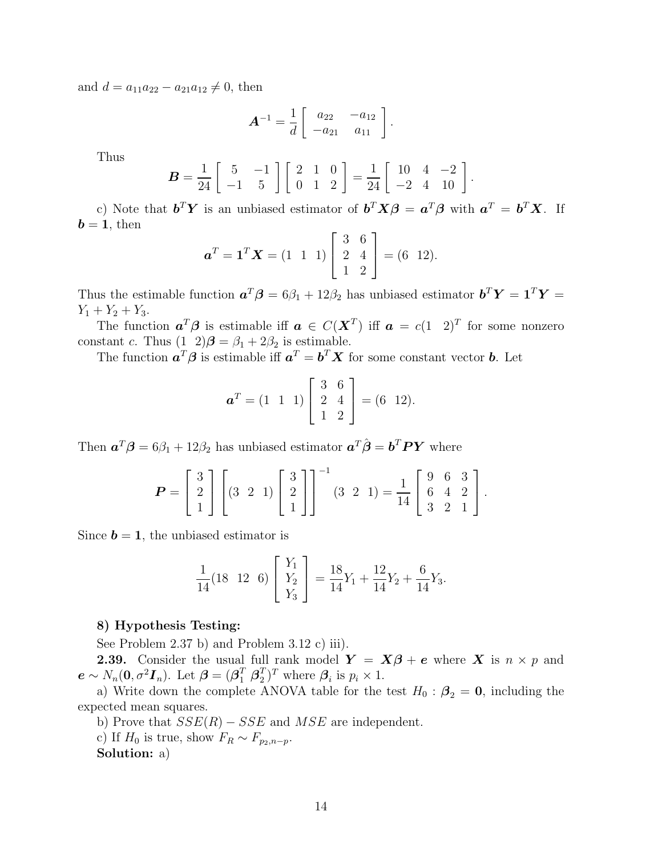and  $d = a_{11}a_{22} - a_{21}a_{12} \neq 0$ , then

$$
\boldsymbol{A}^{-1} = \frac{1}{d} \left[ \begin{array}{cc} a_{22} & -a_{12} \\ -a_{21} & a_{11} \end{array} \right].
$$

Thus

$$
\boldsymbol{B} = \frac{1}{24} \left[ \begin{array}{rr} 5 & -1 \\ -1 & 5 \end{array} \right] \left[ \begin{array}{rr} 2 & 1 & 0 \\ 0 & 1 & 2 \end{array} \right] = \frac{1}{24} \left[ \begin{array}{rr} 10 & 4 & -2 \\ -2 & 4 & 10 \end{array} \right].
$$

c) Note that  $\boldsymbol{b}^T \boldsymbol{Y}$  is an unbiased estimator of  $\boldsymbol{b}^T \boldsymbol{X} \boldsymbol{\beta} = \boldsymbol{a}^T \boldsymbol{\beta}$  with  $\boldsymbol{a}^T = \boldsymbol{b}^T \boldsymbol{X}$ . If  $\mathbf{b} = \mathbf{1}$ , then

$$
\mathbf{a}^T = \mathbf{1}^T \mathbf{X} = (1 \ 1 \ 1) \begin{bmatrix} 3 & 6 \\ 2 & 4 \\ 1 & 2 \end{bmatrix} = (6 \ 12).
$$

Thus the estimable function  $a^T \beta = 6\beta_1 + 12\beta_2$  has unbiased estimator  $b^T Y = 1^T Y =$  $Y_1 + Y_2 + Y_3$ .

The function  $a^T \beta$  is estimable iff  $a \in C(X^T)$  iff  $a = c(1 \ 2)^T$  for some nonzero constant *c*. Thus  $(1 \t2)\boldsymbol{\beta} = \beta_1 + 2\beta_2$  is estimable.

The function  $a^T \beta$  is estimable iff  $a^T = b^T X$  for some constant vector **b**. Let

$$
\boldsymbol{a}^T = \begin{pmatrix} 1 & 1 & 1 \end{pmatrix} \begin{bmatrix} 3 & 6 \\ 2 & 4 \\ 1 & 2 \end{bmatrix} = \begin{pmatrix} 6 & 12 \end{pmatrix}.
$$

Then  $a^T \beta = 6\beta_1 + 12\beta_2$  has unbiased estimator  $a^T \hat{\beta} = b^T P Y$  where

$$
\boldsymbol{P} = \begin{bmatrix} 3 \\ 2 \\ 1 \end{bmatrix} \begin{bmatrix} 3 & 2 & 1 \end{bmatrix} \begin{bmatrix} 3 \\ 2 \\ 1 \end{bmatrix}^{-1} (3 \ 2 \ 1) = \frac{1}{14} \begin{bmatrix} 9 & 6 & 3 \\ 6 & 4 & 2 \\ 3 & 2 & 1 \end{bmatrix}.
$$

Since  $\mathbf{b} = 1$ , the unbiased estimator is

$$
\frac{1}{14}(18 \quad 12 \quad 6) \begin{bmatrix} Y_1 \\ Y_2 \\ Y_3 \end{bmatrix} = \frac{18}{14}Y_1 + \frac{12}{14}Y_2 + \frac{6}{14}Y_3.
$$

#### 8) Hypothesis Testing:

See Problem 2.37 b) and Problem 3.12 c) iii).

**2.39.** Consider the usual full rank model  $Y = X\beta + e$  where X is  $n \times p$  and  $\boldsymbol{e} \sim N_n(\boldsymbol{0}, \sigma^2 \boldsymbol{I}_n)$ . Let  $\boldsymbol{\beta} = (\boldsymbol{\beta}_1^T \; \boldsymbol{\beta}_2^T)$  $(T<sub>2</sub>)<sup>T</sup>$  where  $\beta<sub>i</sub>$  is  $p<sub>i</sub> \times 1$ .

a) Write down the complete ANOVA table for the test  $H_0$  :  $\beta_2 = 0$ , including the expected mean squares.

b) Prove that  $SSE(R) - SSE$  and  $MSE$  are independent.

c) If  $H_0$  is true, show  $F_R \sim F_{p_2,n-p}$ .

Solution: a)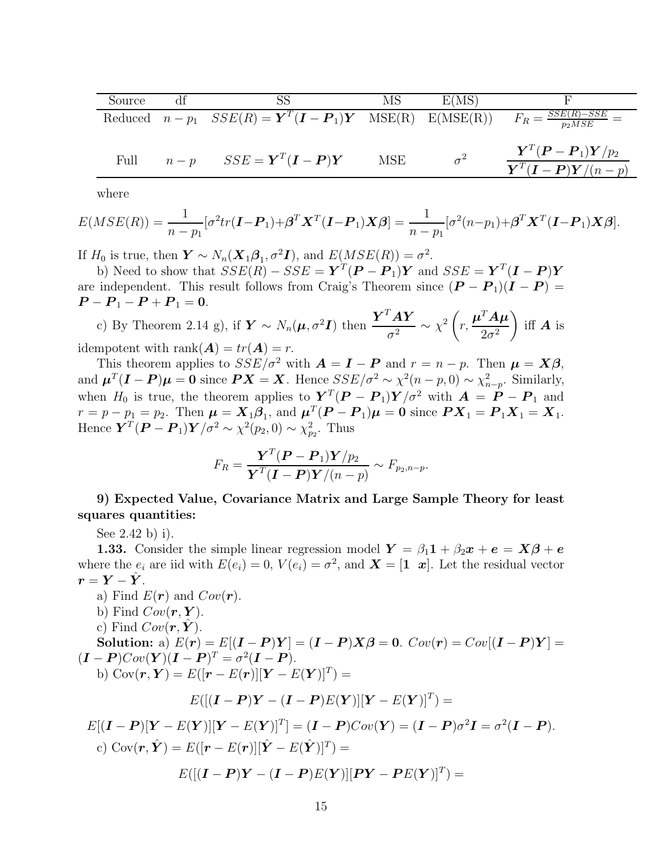| Source |       | SS                                                                                                                                         | MS  | E(MS)      |                                                                                                                                                             |
|--------|-------|--------------------------------------------------------------------------------------------------------------------------------------------|-----|------------|-------------------------------------------------------------------------------------------------------------------------------------------------------------|
|        |       | Reduced $n - p_1$ $SSE(R) = \mathbf{Y}^T (\mathbf{I} - \mathbf{P}_1) \mathbf{Y}$ $MSE(R)$ $E(MSE(R))$ $F_R = \frac{SSE(R) - SSE}{p_2 MSE}$ |     |            |                                                                                                                                                             |
| Full   | $n-p$ | $SSE = \boldsymbol{Y}^T(\boldsymbol{I}-\boldsymbol{P})\boldsymbol{Y}$                                                                      | MSE | $\sigma^2$ | $\boldsymbol{Y}^T (\boldsymbol{P}-\boldsymbol{P}_1) \boldsymbol{Y}/p_2$<br>$\overline{\boldsymbol{Y}^T}(\boldsymbol{I}-\boldsymbol{P})\boldsymbol{Y}/(n-p)$ |

where

$$
E(MSE(R)) = \frac{1}{n-p_1} [\sigma^2 tr(\boldsymbol{I} - \boldsymbol{P}_1) + \boldsymbol{\beta}^T \boldsymbol{X}^T (\boldsymbol{I} - \boldsymbol{P}_1) \boldsymbol{X} \boldsymbol{\beta}] = \frac{1}{n-p_1} [\sigma^2 (n-p_1) + \boldsymbol{\beta}^T \boldsymbol{X}^T (\boldsymbol{I} - \boldsymbol{P}_1) \boldsymbol{X} \boldsymbol{\beta}].
$$

If  $H_0$  is true, then  $\boldsymbol{Y} \sim N_n(\boldsymbol{X}_1 \boldsymbol{\beta}_1, \sigma^2 \boldsymbol{I})$ , and  $E(MSE(R)) = \sigma^2$ .

b) Need to show that  $SSE(R) - SSE = \mathbf{Y}^T(\mathbf{P} - \mathbf{P}_1)\mathbf{Y}$  and  $SSE = \mathbf{Y}^T(\mathbf{I} - \mathbf{P})\mathbf{Y}$ are independent. This result follows from Craig's Theorem since  $(P - P_1)(I - P) =$  $P - P_1 - P + P_1 = 0.$ 

c) By Theorem 2.14 g), if  $\boldsymbol{Y} \sim N_n(\boldsymbol{\mu}, \sigma^2 \boldsymbol{I})$  then  $\frac{\boldsymbol{Y}^T \boldsymbol{A} \boldsymbol{Y}}{\sigma^2}$  $\frac{d^{2}A\boldsymbol{Y}}{\sigma^{2}}\sim\chi^{2}\left(\boldsymbol{\beta}\right)$ r,  $\boldsymbol{\mu}^T\boldsymbol{A}\boldsymbol{\mu}$  $2\sigma^2$ ) iff  $\boldsymbol{A}$  is idempotent with rank $(A) = tr(A) = r$ .

This theorem applies to  $SSE/\sigma^2$  with  $\mathbf{A} = \mathbf{I} - \mathbf{P}$  and  $r = n - p$ . Then  $\mathbf{\mu} = \mathbf{X}\boldsymbol{\beta}$ , and  $\mu^T(I - P)\mu = 0$  since  $PX = X$ . Hence  $SSE/\sigma^2 \sim \chi^2(n-p, 0) \sim \chi^2_{n-p}$ . Similarly, when  $H_0$  is true, the theorem applies to  $\boldsymbol{Y}^T(\boldsymbol{P}-\boldsymbol{P}_1)\boldsymbol{Y}/\sigma^2$  with  $\boldsymbol{A} = \boldsymbol{P}-\boldsymbol{P}_1$  and  $r = p - p_1 = p_2$ . Then  $\mu = \mathbf{X}_1 \boldsymbol{\beta}_1$ , and  $\mu^T(\boldsymbol{P} - \boldsymbol{P}_1)\mu = 0$  since  $\boldsymbol{P} \mathbf{X}_1 = \boldsymbol{P}_1 \mathbf{X}_1 = \mathbf{X}_1$ . Hence  $\boldsymbol{Y}^T(\boldsymbol{P}-\boldsymbol{P}_1)\boldsymbol{Y}/\sigma^2 \sim \chi^2(p_2,0) \sim \chi^2_{p_2}$ . Thus

$$
F_R = \frac{\boldsymbol{Y}^T (\boldsymbol{P} - \boldsymbol{P}_1) \boldsymbol{Y} / p_2}{\boldsymbol{Y}^T (\boldsymbol{I} - \boldsymbol{P}) \boldsymbol{Y} / (n - p)} \sim F_{p_2, n - p}.
$$

9) Expected Value, Covariance Matrix and Large Sample Theory for least squares quantities:

See 2.42 b) i).

**1.33.** Consider the simple linear regression model  $Y = \beta_1 1 + \beta_2 x + e = X\beta + e$ where the  $e_i$  are iid with  $E(e_i) = 0$ ,  $V(e_i) = \sigma^2$ , and  $\boldsymbol{X} = [\mathbf{1} \ \boldsymbol{x}]$ . Let the residual vector  $r = Y - \tilde{Y}$ .

- a) Find  $E(\mathbf{r})$  and  $Cov(\mathbf{r})$ .
- b) Find  $Cov(\mathbf{r}, \mathbf{Y})$ .
- c) Find  $Cov(\mathbf{r}, \mathbf{Y}).$

Solution: a)  $E(r) = E[(I - P)Y] = (I - P)X\beta = 0$ .  $Cov(r) = Cov[(I - P)Y] =$  $(I - P)Cov(Y)(I - P)^{T} = \sigma^{2}(I - P).$ b)  $Cov(\boldsymbol{r}, \boldsymbol{Y}) = E([\boldsymbol{r} - E(\boldsymbol{r})][\boldsymbol{Y} - E(\boldsymbol{Y})]^T) =$ 

$$
E([(\boldsymbol{I}-\boldsymbol{P})\boldsymbol{Y}-(\boldsymbol{I}-\boldsymbol{P})E(\boldsymbol{Y})][\boldsymbol{Y}-E(\boldsymbol{Y})]^T)
$$

$$
E[(\boldsymbol{I} - \boldsymbol{P})[\boldsymbol{Y} - E(\boldsymbol{Y})][\boldsymbol{Y} - E(\boldsymbol{Y})]^T] = (\boldsymbol{I} - \boldsymbol{P})Cov(\boldsymbol{Y}) = (\boldsymbol{I} - \boldsymbol{P})\sigma^2 \boldsymbol{I} = \sigma^2 (\boldsymbol{I} - \boldsymbol{P}).
$$
  
c) Cov( $\boldsymbol{r}, \hat{\boldsymbol{Y}}$ ) = E([ $\boldsymbol{r} - E(\boldsymbol{r})][\hat{\boldsymbol{Y}} - E(\hat{\boldsymbol{Y}})]^T$ ) =  

$$
E([(\boldsymbol{I} - \boldsymbol{P})\boldsymbol{Y} - (\boldsymbol{I} - \boldsymbol{P})E(\boldsymbol{Y})][\boldsymbol{P}\boldsymbol{Y} - \boldsymbol{P}E(\boldsymbol{Y})]^T
$$
) =

 $=$